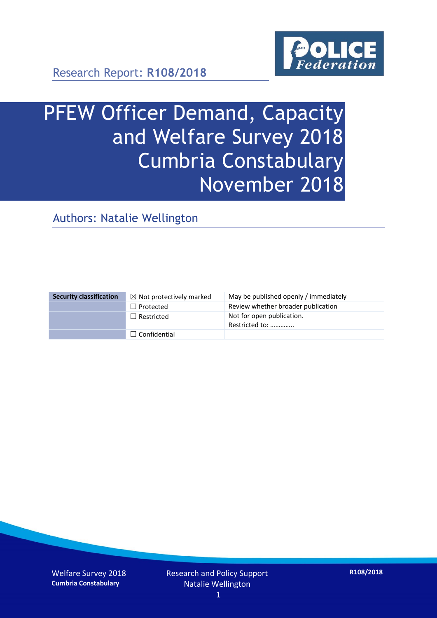

Research Report: **R108/2018**

# PFEW Officer Demand, Capacity and Welfare Survey 2018 Cumbria Constabulary November 2018

Authors: Natalie Wellington

| <b>Security classification</b> | $\boxtimes$ Not protectively marked | May be published openly / immediately       |
|--------------------------------|-------------------------------------|---------------------------------------------|
|                                | $\Box$ Protected                    | Review whether broader publication          |
|                                | $\Box$ Restricted                   | Not for open publication.<br>Restricted to: |
|                                | $\Box$ Confidential                 |                                             |

Welfare Survey 2018 **Cumbria Constabulary**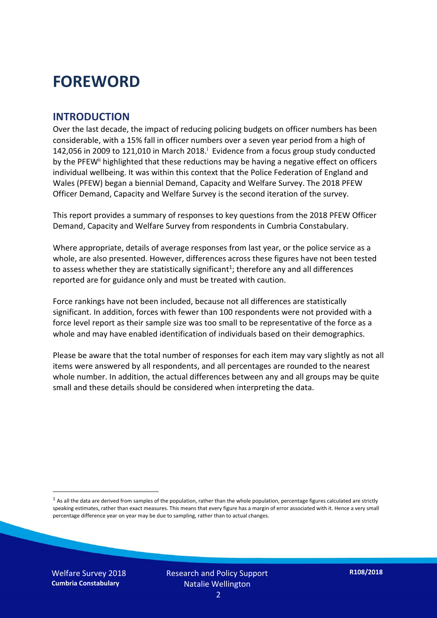## **FOREWORD**

#### **INTRODUCTION**

Over the last decade, the impact of reducing policing budgets on officer numbers has been considerable, with a 15% fall in officer numbers over a seven year period from a high of 142,056 in 2009 to 121,010 in March 2018. $^{\mathrm{i}}$  Evidence from a focus group study conducted by the PFEW<sup>ii</sup> highlighted that these reductions may be having a negative effect on officers individual wellbeing. It was within this context that the Police Federation of England and Wales (PFEW) began a biennial Demand, Capacity and Welfare Survey. The 2018 PFEW Officer Demand, Capacity and Welfare Survey is the second iteration of the survey.

This report provides a summary of responses to key questions from the 2018 PFEW Officer Demand, Capacity and Welfare Survey from respondents in Cumbria Constabulary.

Where appropriate, details of average responses from last year, or the police service as a whole, are also presented. However, differences across these figures have not been tested to assess whether they are statistically significant<sup>1</sup>; therefore any and all differences reported are for guidance only and must be treated with caution.

Force rankings have not been included, because not all differences are statistically significant. In addition, forces with fewer than 100 respondents were not provided with a force level report as their sample size was too small to be representative of the force as a whole and may have enabled identification of individuals based on their demographics.

Please be aware that the total number of responses for each item may vary slightly as not all items were answered by all respondents, and all percentages are rounded to the nearest whole number. In addition, the actual differences between any and all groups may be quite small and these details should be considered when interpreting the data.

Welfare Survey 2018 **Cumbria Constabulary**

-

 $<sup>1</sup>$  As all the data are derived from samples of the population, rather than the whole population, percentage figures calculated are strictly</sup> speaking estimates, rather than exact measures. This means that every figure has a margin of error associated with it. Hence a very small percentage difference year on year may be due to sampling, rather than to actual changes.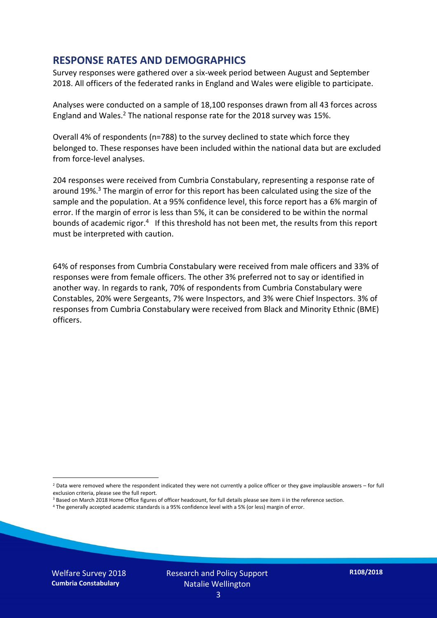#### **RESPONSE RATES AND DEMOGRAPHICS**

Survey responses were gathered over a six-week period between August and September 2018. All officers of the federated ranks in England and Wales were eligible to participate.

Analyses were conducted on a sample of 18,100 responses drawn from all 43 forces across England and Wales.<sup>2</sup> The national response rate for the 2018 survey was 15%.

Overall 4% of respondents (n=788) to the survey declined to state which force they belonged to. These responses have been included within the national data but are excluded from force-level analyses.

204 responses were received from Cumbria Constabulary, representing a response rate of around 19%. <sup>3</sup> The margin of error for this report has been calculated using the size of the sample and the population. At a 95% confidence level, this force report has a 6% margin of error. If the margin of error is less than 5%, it can be considered to be within the normal bounds of academic rigor.<sup>4</sup> If this threshold has not been met, the results from this report must be interpreted with caution.

64% of responses from Cumbria Constabulary were received from male officers and 33% of responses were from female officers. The other 3% preferred not to say or identified in another way. In regards to rank, 70% of respondents from Cumbria Constabulary were Constables, 20% were Sergeants, 7% were Inspectors, and 3% were Chief Inspectors. 3% of responses from Cumbria Constabulary were received from Black and Minority Ethnic (BME) officers.

-

 $2$  Data were removed where the respondent indicated they were not currently a police officer or they gave implausible answers – for full exclusion criteria, please see the full report.

<sup>3</sup> Based on March 2018 Home Office figures of officer headcount, for full details please see item ii in the reference section.

<sup>4</sup> The generally accepted academic standards is a 95% confidence level with a 5% (or less) margin of error.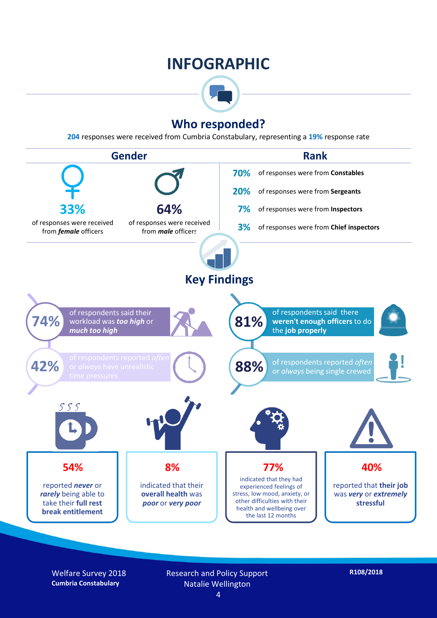### **INFOGRAPHIC**



### **Who responded?**

**204** responses were received from Cumbria Constabulary, representing a **19%** response rate



Welfare Survey 2018 **Cumbria Constabulary**

Research and Policy Support Natalie Wellington 4

**R108/2018**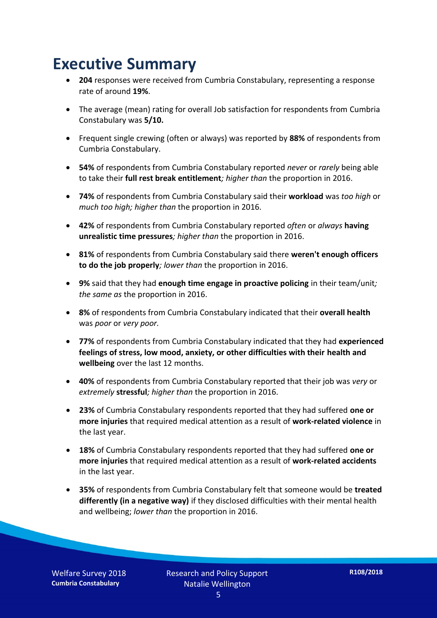## **Executive Summary**

- **204** responses were received from Cumbria Constabulary, representing a response rate of around **19%**.
- The average (mean) rating for overall Job satisfaction for respondents from Cumbria Constabulary was **5/10.**
- Frequent single crewing (often or always) was reported by **88%** of respondents from Cumbria Constabulary.
- **54%** of respondents from Cumbria Constabulary reported *never* or *rarely* being able to take their **full rest break entitlement***; higher than* the proportion in 2016.
- **74%** of respondents from Cumbria Constabulary said their **workload** was *too high* or *much too high; higher than* the proportion in 2016.
- **42%** of respondents from Cumbria Constabulary reported *often* or *always* **having unrealistic time pressures***; higher than* the proportion in 2016.
- **81%** of respondents from Cumbria Constabulary said there **weren't enough officers to do the job properly***; lower than* the proportion in 2016.
- **9%** said that they had **enough time engage in proactive policing** in their team/unit*; the same as* the proportion in 2016.
- **8%** of respondents from Cumbria Constabulary indicated that their **overall health** was *poor* or *very poor.*
- **77%** of respondents from Cumbria Constabulary indicated that they had **experienced feelings of stress, low mood, anxiety, or other difficulties with their health and wellbeing** over the last 12 months.
- **40%** of respondents from Cumbria Constabulary reported that their job was *very* or *extremely* **stressful***; higher than* the proportion in 2016.
- **23%** of Cumbria Constabulary respondents reported that they had suffered **one or more injuries** that required medical attention as a result of **work-related violence** in the last year.
- **18%** of Cumbria Constabulary respondents reported that they had suffered **one or more injuries** that required medical attention as a result of **work-related accidents**  in the last year.
- **35%** of respondents from Cumbria Constabulary felt that someone would be **treated differently (in a negative way)** if they disclosed difficulties with their mental health and wellbeing; *lower than* the proportion in 2016.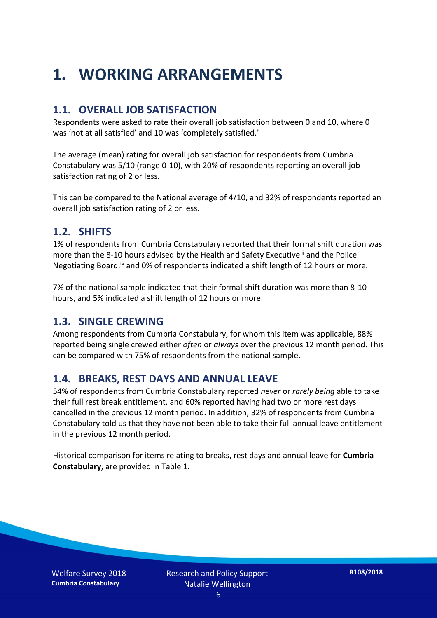## **1. WORKING ARRANGEMENTS**

#### **1.1. OVERALL JOB SATISFACTION**

Respondents were asked to rate their overall job satisfaction between 0 and 10, where 0 was 'not at all satisfied' and 10 was 'completely satisfied.'

The average (mean) rating for overall job satisfaction for respondents from Cumbria Constabulary was 5/10 (range 0-10), with 20% of respondents reporting an overall job satisfaction rating of 2 or less.

This can be compared to the National average of 4/10, and 32% of respondents reported an overall job satisfaction rating of 2 or less.

#### **1.2. SHIFTS**

1% of respondents from Cumbria Constabulary reported that their formal shift duration was more than the 8-10 hours advised by the Health and Safety Executive<sup>iii</sup> and the Police Negotiating Board,<sup>iv</sup> and 0% of respondents indicated a shift length of 12 hours or more.

7% of the national sample indicated that their formal shift duration was more than 8-10 hours, and 5% indicated a shift length of 12 hours or more.

#### **1.3. SINGLE CREWING**

Among respondents from Cumbria Constabulary, for whom this item was applicable, 88% reported being single crewed either *often* or *always* over the previous 12 month period. This can be compared with 75% of respondents from the national sample.

#### **1.4. BREAKS, REST DAYS AND ANNUAL LEAVE**

54% of respondents from Cumbria Constabulary reported *never* or *rarely being* able to take their full rest break entitlement, and 60% reported having had two or more rest days cancelled in the previous 12 month period. In addition, 32% of respondents from Cumbria Constabulary told us that they have not been able to take their full annual leave entitlement in the previous 12 month period.

Historical comparison for items relating to breaks, rest days and annual leave for **Cumbria Constabulary**, are provided in Table 1.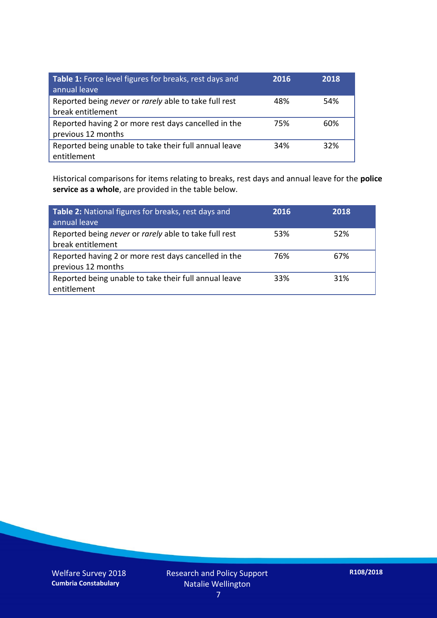| Table 1: Force level figures for breaks, rest days and<br>annual leave     | 2016 | 2018 |
|----------------------------------------------------------------------------|------|------|
| Reported being never or rarely able to take full rest<br>break entitlement | 48%  | 54%  |
| Reported having 2 or more rest days cancelled in the<br>previous 12 months | 75%  | 60%  |
| Reported being unable to take their full annual leave<br>entitlement       | 34%  | 32%  |

Historical comparisons for items relating to breaks, rest days and annual leave for the **police service as a whole**, are provided in the table below.

| Table 2: National figures for breaks, rest days and<br>annual leave        | 2016 | 2018 |
|----------------------------------------------------------------------------|------|------|
| Reported being never or rarely able to take full rest<br>break entitlement | 53%  | 52%  |
| Reported having 2 or more rest days cancelled in the<br>previous 12 months | 76%  | 67%  |
| Reported being unable to take their full annual leave<br>entitlement       | 33%  | 31%  |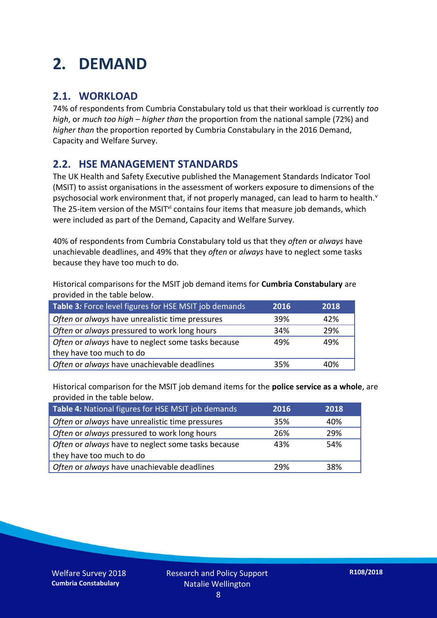## **2. DEMAND**

### **2.1. WORKLOAD**

74% of respondents from Cumbria Constabulary told us that their workload is currently *too high*, or *much too high* – *higher than* the proportion from the national sample (72%) and *higher than* the proportion reported by Cumbria Constabulary in the 2016 Demand, Capacity and Welfare Survey.

### **2.2. HSE MANAGEMENT STANDARDS**

The UK Health and Safety Executive published the Management Standards Indicator Tool (MSIT) to assist organisations in the assessment of workers exposure to dimensions of the psychosocial work environment that, if not properly managed, can lead to harm to health.<sup>v</sup> The 25-item version of the MSIT<sup>vi</sup> contains four items that measure job demands, which were included as part of the Demand, Capacity and Welfare Survey.

40% of respondents from Cumbria Constabulary told us that they *often* or *always* have unachievable deadlines, and 49% that they *often* or *always* have to neglect some tasks because they have too much to do.

Historical comparisons for the MSIT job demand items for **Cumbria Constabulary** are provided in the table below.

| Table 3: Force level figures for HSE MSIT job demands | 2016 | 2018 |
|-------------------------------------------------------|------|------|
| Often or always have unrealistic time pressures       | 39%  | 42%  |
| Often or always pressured to work long hours          | 34%  | 29%  |
| Often or always have to neglect some tasks because    | 49%  | 49%  |
| they have too much to do                              |      |      |
| Often or always have unachievable deadlines           | 35%  | 40%  |

Historical comparison for the MSIT job demand items for the **police service as a whole**, are provided in the table below.

| Table 4: National figures for HSE MSIT job demands | 2016 | 2018 |
|----------------------------------------------------|------|------|
| Often or always have unrealistic time pressures    | 35%  | 40%  |
| Often or always pressured to work long hours       | 26%  | 29%  |
| Often or always have to neglect some tasks because | 43%  | 54%  |
| they have too much to do                           |      |      |
| Often or always have unachievable deadlines        | 29%  | 38%  |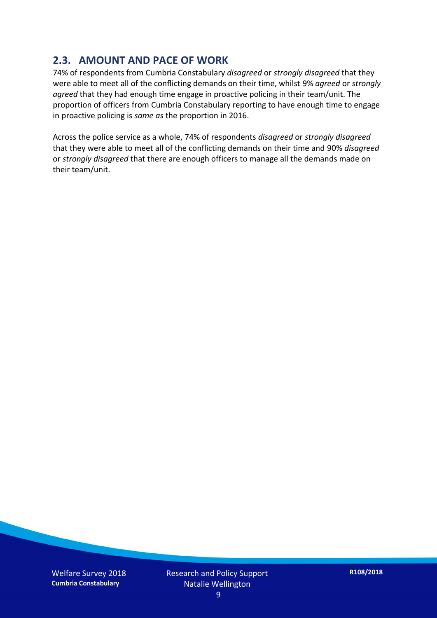### **2.3. AMOUNT AND PACE OF WORK**

74% of respondents from Cumbria Constabulary *disagreed* or *strongly disagreed* that they were able to meet all of the conflicting demands on their time, whilst 9% *agreed* or *strongly agreed* that they had enough time engage in proactive policing in their team/unit. The proportion of officers from Cumbria Constabulary reporting to have enough time to engage in proactive policing is *same as* the proportion in 2016.

Across the police service as a whole, 74% of respondents *disagreed* or *strongly disagreed* that they were able to meet all of the conflicting demands on their time and 90% *disagreed* or *strongly disagreed* that there are enough officers to manage all the demands made on their team/unit.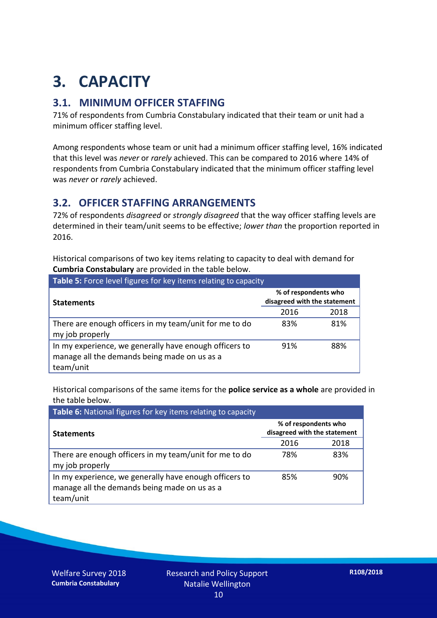## **3. CAPACITY**

### **3.1. MINIMUM OFFICER STAFFING**

71% of respondents from Cumbria Constabulary indicated that their team or unit had a minimum officer staffing level.

Among respondents whose team or unit had a minimum officer staffing level, 16% indicated that this level was *never* or *rarely* achieved. This can be compared to 2016 where 14% of respondents from Cumbria Constabulary indicated that the minimum officer staffing level was *never* or *rarely* achieved.

#### **3.2. OFFICER STAFFING ARRANGEMENTS**

72% of respondents *disagreed* or *strongly disagreed* that the way officer staffing levels are determined in their team/unit seems to be effective; *lower than* the proportion reported in 2016.

Historical comparisons of two key items relating to capacity to deal with demand for **Cumbria Constabulary** are provided in the table below.

| Table 5: Force level figures for key items relating to capacity                                                     |                                                      |      |  |
|---------------------------------------------------------------------------------------------------------------------|------------------------------------------------------|------|--|
| <b>Statements</b>                                                                                                   | % of respondents who<br>disagreed with the statement |      |  |
|                                                                                                                     | 2016                                                 | 2018 |  |
| There are enough officers in my team/unit for me to do<br>my job properly                                           | 83%                                                  | 81%  |  |
| In my experience, we generally have enough officers to<br>manage all the demands being made on us as a<br>team/unit | 91%                                                  | 88%  |  |

Historical comparisons of the same items for the **police service as a whole** are provided in the table below.

| Table 6: National figures for key items relating to capacity                                                        |                                                      |      |  |  |
|---------------------------------------------------------------------------------------------------------------------|------------------------------------------------------|------|--|--|
| <b>Statements</b>                                                                                                   | % of respondents who<br>disagreed with the statement |      |  |  |
|                                                                                                                     | 2016                                                 | 2018 |  |  |
| There are enough officers in my team/unit for me to do<br>my job properly                                           | 78%                                                  | 83%  |  |  |
| In my experience, we generally have enough officers to<br>manage all the demands being made on us as a<br>team/unit | 85%                                                  | 90%  |  |  |

Welfare Survey 2018 **Cumbria Constabulary**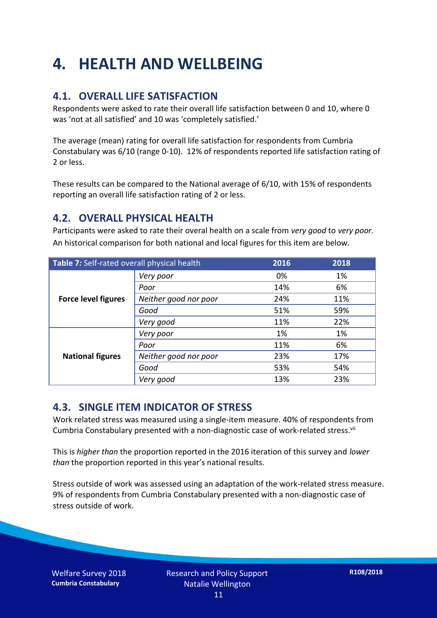## **4. HEALTH AND WELLBEING**

### **4.1. OVERALL LIFE SATISFACTION**

Respondents were asked to rate their overall life satisfaction between 0 and 10, where 0 was 'not at all satisfied' and 10 was 'completely satisfied.'

The average (mean) rating for overall life satisfaction for respondents from Cumbria Constabulary was 6/10 (range 0-10). 12% of respondents reported life satisfaction rating of 2 or less.

These results can be compared to the National average of 6/10, with 15% of respondents reporting an overall life satisfaction rating of 2 or less.

### **4.2. OVERALL PHYSICAL HEALTH**

Participants were asked to rate their overal health on a scale from *very good* to *very poor*. An historical comparison for both national and local figures for this item are below.

| Table 7: Self-rated overall physical health |                       | 2016 | 2018 |
|---------------------------------------------|-----------------------|------|------|
| <b>Force level figures</b>                  | Very poor             | 0%   | 1%   |
|                                             | Poor                  | 14%  | 6%   |
|                                             | Neither good nor poor | 24%  | 11%  |
|                                             | Good                  | 51%  | 59%  |
|                                             | Very good             | 11%  | 22%  |
| <b>National figures</b>                     | Very poor             | 1%   | 1%   |
|                                             | Poor                  | 11%  | 6%   |
|                                             | Neither good nor poor | 23%  | 17%  |
|                                             | Good                  | 53%  | 54%  |
|                                             | Very good             | 13%  | 23%  |

### **4.3. SINGLE ITEM INDICATOR OF STRESS**

Work related stress was measured using a single-item measure. 40% of respondents from Cumbria Constabulary presented with a non-diagnostic case of work-related stress.<sup>vii</sup>

This is *higher than* the proportion reported in the 2016 iteration of this survey and *lower than* the proportion reported in this year's national results.

Stress outside of work was assessed using an adaptation of the work-related stress measure. 9% of respondents from Cumbria Constabulary presented with a non-diagnostic case of stress outside of work.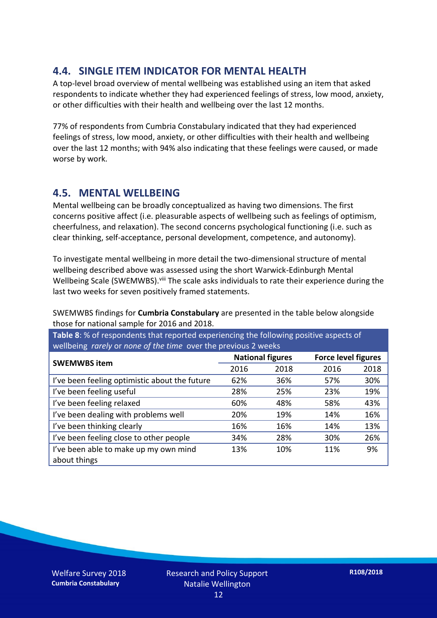### **4.4. SINGLE ITEM INDICATOR FOR MENTAL HEALTH**

A top-level broad overview of mental wellbeing was established using an item that asked respondents to indicate whether they had experienced feelings of stress, low mood, anxiety, or other difficulties with their health and wellbeing over the last 12 months.

77% of respondents from Cumbria Constabulary indicated that they had experienced feelings of stress, low mood, anxiety, or other difficulties with their health and wellbeing over the last 12 months; with 94% also indicating that these feelings were caused, or made worse by work.

### **4.5. MENTAL WELLBEING**

Mental wellbeing can be broadly conceptualized as having two dimensions. The first concerns positive affect (i.e. pleasurable aspects of wellbeing such as feelings of optimism, cheerfulness, and relaxation). The second concerns psychological functioning (i.e. such as clear thinking, self-acceptance, personal development, competence, and autonomy).

To investigate mental wellbeing in more detail the two-dimensional structure of mental wellbeing described above was assessed using the short Warwick-Edinburgh Mental Wellbeing Scale (SWEMWBS). viii The scale asks individuals to rate their experience during the last two weeks for seven positively framed statements.

SWEMWBS findings for **Cumbria Constabulary** are presented in the table below alongside those for national sample for 2016 and 2018.

**Table 8**: % of respondents that reported experiencing the following positive aspects of wellbeing *rarely* or *none of the time* over the previous 2 weeks

|                                               | <b>National figures</b> |      | <b>Force level figures</b> |      |
|-----------------------------------------------|-------------------------|------|----------------------------|------|
| <b>SWEMWBS item</b>                           | 2016                    | 2018 | 2016                       | 2018 |
| I've been feeling optimistic about the future | 62%                     | 36%  | 57%                        | 30%  |
| I've been feeling useful                      | 28%                     | 25%  | 23%                        | 19%  |
| I've been feeling relaxed                     | 60%                     | 48%  | 58%                        | 43%  |
| I've been dealing with problems well          | 20%                     | 19%  | 14%                        | 16%  |
| I've been thinking clearly                    | 16%                     | 16%  | 14%                        | 13%  |
| I've been feeling close to other people       | 34%                     | 28%  | 30%                        | 26%  |
| I've been able to make up my own mind         | 13%                     | 10%  | 11%                        | 9%   |
| about things                                  |                         |      |                            |      |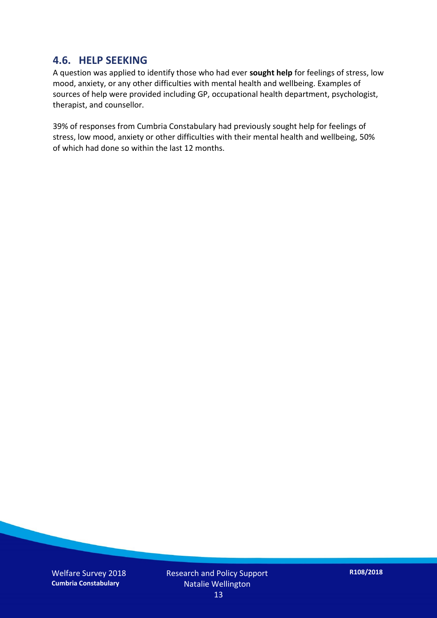#### **4.6. HELP SEEKING**

A question was applied to identify those who had ever **sought help** for feelings of stress, low mood, anxiety, or any other difficulties with mental health and wellbeing. Examples of sources of help were provided including GP, occupational health department, psychologist, therapist, and counsellor.

39% of responses from Cumbria Constabulary had previously sought help for feelings of stress, low mood, anxiety or other difficulties with their mental health and wellbeing, 50% of which had done so within the last 12 months.

Welfare Survey 2018 **Cumbria Constabulary**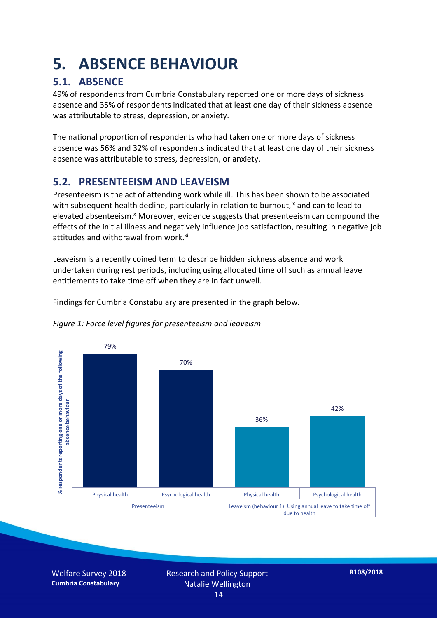## **5. ABSENCE BEHAVIOUR**

### **5.1. ABSENCE**

49% of respondents from Cumbria Constabulary reported one or more days of sickness absence and 35% of respondents indicated that at least one day of their sickness absence was attributable to stress, depression, or anxiety.

The national proportion of respondents who had taken one or more days of sickness absence was 56% and 32% of respondents indicated that at least one day of their sickness absence was attributable to stress, depression, or anxiety.

### **5.2. PRESENTEEISM AND LEAVEISM**

Presenteeism is the act of attending work while ill. This has been shown to be associated with subsequent health decline, particularly in relation to burnout,  $\alpha$  and can to lead to elevated absenteeism.<sup>x</sup> Moreover, evidence suggests that presenteeism can compound the effects of the initial illness and negatively influence job satisfaction, resulting in negative job attitudes and withdrawal from work.<sup>xi</sup>

Leaveism is a recently coined term to describe hidden sickness absence and work undertaken during rest periods, including using allocated time off such as annual leave entitlements to take time off when they are in fact unwell.

Findings for Cumbria Constabulary are presented in the graph below.





Welfare Survey 2018 **Cumbria Constabulary**

Research and Policy Support Natalie Wellington 14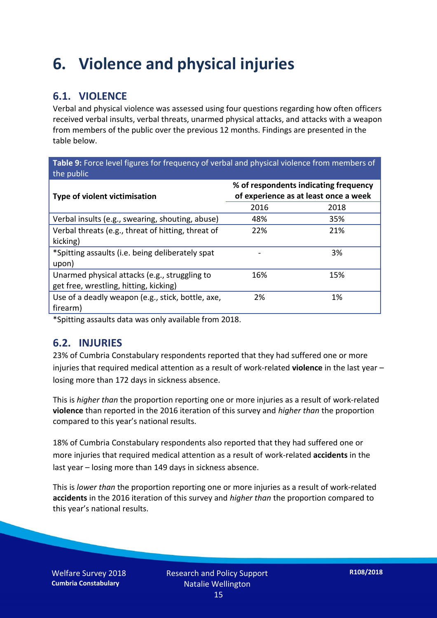## **6. Violence and physical injuries**

### **6.1. VIOLENCE**

Verbal and physical violence was assessed using four questions regarding how often officers received verbal insults, verbal threats, unarmed physical attacks, and attacks with a weapon from members of the public over the previous 12 months. Findings are presented in the table below.

**Table 9:** Force level figures for frequency of verbal and physical violence from members of the public

| <b>Type of violent victimisation</b>               | % of respondents indicating frequency<br>of experience as at least once a week |      |  |
|----------------------------------------------------|--------------------------------------------------------------------------------|------|--|
|                                                    | 2016                                                                           | 2018 |  |
| Verbal insults (e.g., swearing, shouting, abuse)   | 48%                                                                            | 35%  |  |
| Verbal threats (e.g., threat of hitting, threat of | 22%                                                                            | 21%  |  |
| kicking)                                           |                                                                                |      |  |
| *Spitting assaults (i.e. being deliberately spat   |                                                                                | 3%   |  |
| upon)                                              |                                                                                |      |  |
| Unarmed physical attacks (e.g., struggling to      | 16%                                                                            | 15%  |  |
| get free, wrestling, hitting, kicking)             |                                                                                |      |  |
| Use of a deadly weapon (e.g., stick, bottle, axe,  | 2%                                                                             | 1%   |  |
| firearm)                                           |                                                                                |      |  |

\*Spitting assaults data was only available from 2018.

#### **6.2. INJURIES**

23% of Cumbria Constabulary respondents reported that they had suffered one or more injuries that required medical attention as a result of work-related **violence** in the last year – losing more than 172 days in sickness absence.

This is *higher than* the proportion reporting one or more injuries as a result of work-related **violence** than reported in the 2016 iteration of this survey and *higher than* the proportion compared to this year's national results.

18% of Cumbria Constabulary respondents also reported that they had suffered one or more injuries that required medical attention as a result of work-related **accidents** in the last year – losing more than 149 days in sickness absence.

This is *lower than* the proportion reporting one or more injuries as a result of work-related **accidents** in the 2016 iteration of this survey and *higher than* the proportion compared to this year's national results.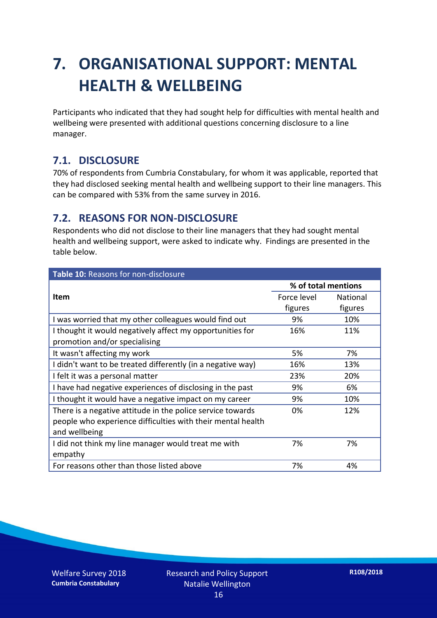## **7. ORGANISATIONAL SUPPORT: MENTAL HEALTH & WELLBEING**

Participants who indicated that they had sought help for difficulties with mental health and wellbeing were presented with additional questions concerning disclosure to a line manager.

#### **7.1. DISCLOSURE**

70% of respondents from Cumbria Constabulary, for whom it was applicable, reported that they had disclosed seeking mental health and wellbeing support to their line managers. This can be compared with 53% from the same survey in 2016.

#### **7.2. REASONS FOR NON-DISCLOSURE**

Respondents who did not disclose to their line managers that they had sought mental health and wellbeing support, were asked to indicate why. Findings are presented in the table below.

| Table 10: Reasons for non-disclosure                        |                     |                 |
|-------------------------------------------------------------|---------------------|-----------------|
|                                                             | % of total mentions |                 |
| Item                                                        | Force level         | <b>National</b> |
|                                                             | figures             | figures         |
| I was worried that my other colleagues would find out       | 9%                  | 10%             |
| I thought it would negatively affect my opportunities for   | 16%                 | 11%             |
| promotion and/or specialising                               |                     |                 |
| It wasn't affecting my work                                 | 5%                  | 7%              |
| I didn't want to be treated differently (in a negative way) | 16%                 | 13%             |
| I felt it was a personal matter                             | 23%                 | 20%             |
| I have had negative experiences of disclosing in the past   | 9%                  | 6%              |
| I thought it would have a negative impact on my career      | 9%                  | 10%             |
| There is a negative attitude in the police service towards  | 0%                  | 12%             |
| people who experience difficulties with their mental health |                     |                 |
| and wellbeing                                               |                     |                 |
| I did not think my line manager would treat me with         | 7%                  | 7%              |
| empathy                                                     |                     |                 |
| For reasons other than those listed above                   | 7%                  | 4%              |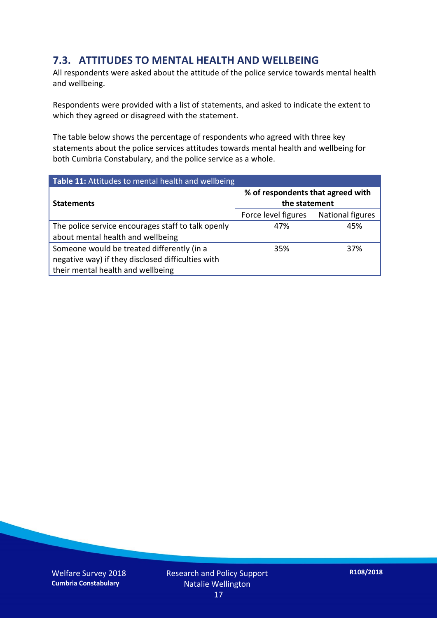### **7.3. ATTITUDES TO MENTAL HEALTH AND WELLBEING**

All respondents were asked about the attitude of the police service towards mental health and wellbeing.

Respondents were provided with a list of statements, and asked to indicate the extent to which they agreed or disagreed with the statement.

The table below shows the percentage of respondents who agreed with three key statements about the police services attitudes towards mental health and wellbeing for both Cumbria Constabulary, and the police service as a whole.

| Table 11: Attitudes to mental health and wellbeing |                                                    |                  |  |
|----------------------------------------------------|----------------------------------------------------|------------------|--|
| <b>Statements</b>                                  | % of respondents that agreed with<br>the statement |                  |  |
|                                                    | Force level figures                                | National figures |  |
| The police service encourages staff to talk openly | 47%                                                | 45%              |  |
| about mental health and wellbeing                  |                                                    |                  |  |
| Someone would be treated differently (in a         | 35%                                                | 37%              |  |
| negative way) if they disclosed difficulties with  |                                                    |                  |  |
| their mental health and wellbeing                  |                                                    |                  |  |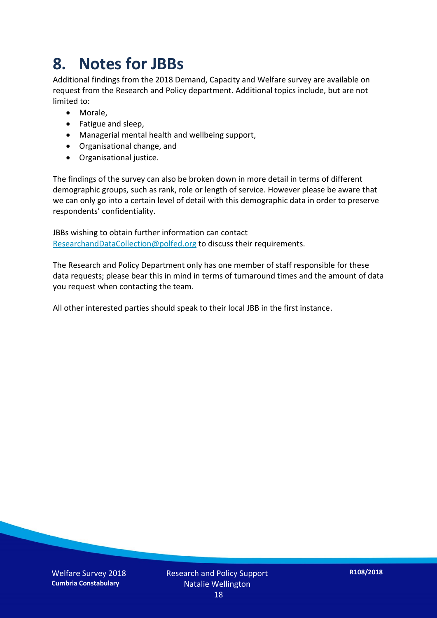## **8. Notes for JBBs**

Additional findings from the 2018 Demand, Capacity and Welfare survey are available on request from the Research and Policy department. Additional topics include, but are not limited to:

- Morale,
- Fatigue and sleep,
- Managerial mental health and wellbeing support,
- Organisational change, and
- Organisational justice.

The findings of the survey can also be broken down in more detail in terms of different demographic groups, such as rank, role or length of service. However please be aware that we can only go into a certain level of detail with this demographic data in order to preserve respondents' confidentiality.

JBBs wishing to obtain further information can contact [ResearchandDataCollection@polfed.org](mailto:ResearchandDataCollection@polfed.org) to discuss their requirements.

The Research and Policy Department only has one member of staff responsible for these data requests; please bear this in mind in terms of turnaround times and the amount of data you request when contacting the team.

All other interested parties should speak to their local JBB in the first instance.